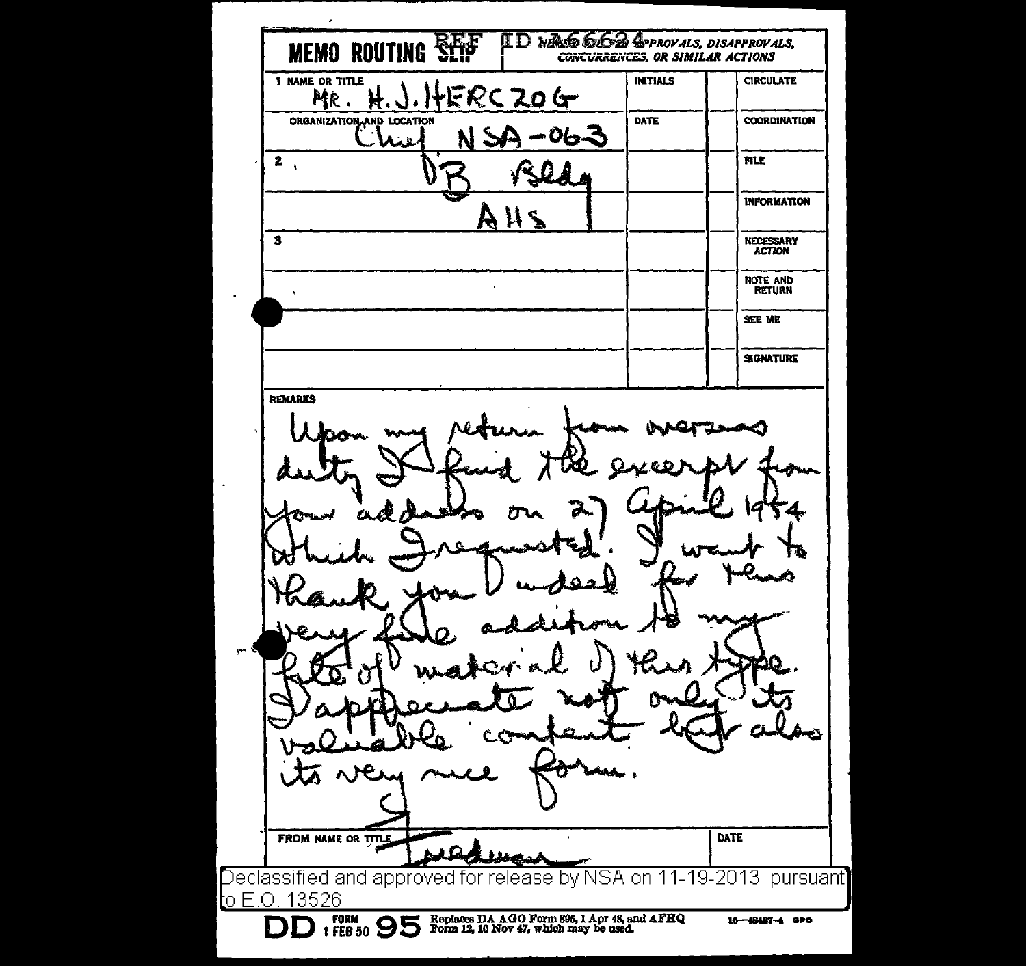**WALD GIGZ APPROVALS, DISAPPROVALS,** ID. **MEMO ROUTING** CONCURRENCES, OR SIMILAR ACTIONS 1 NAME OR TITLE INITIALS CIRCULATE ERC ZO MR. Ħ. سوا ORGANIZATION AND LOCATION DATE COORDINATION تدما  $\overline{\mathbf{2}}$ FILE INFORMATION ΗA 3 NECESSARY ACTION NOTE AND RETURN  $\bullet$ SEE ME **SIGNATURE REMARKS** DATE FROM NAME OR TITLE eclassified and approved for release by NSA on 11-19-2013 pursuant] o E.O. 13526 **9 6 6 6 6 6 5 <b>6 5 1 5 °** Form 12, 10 Nov *47*, which may be used. 16-48487-4 aPo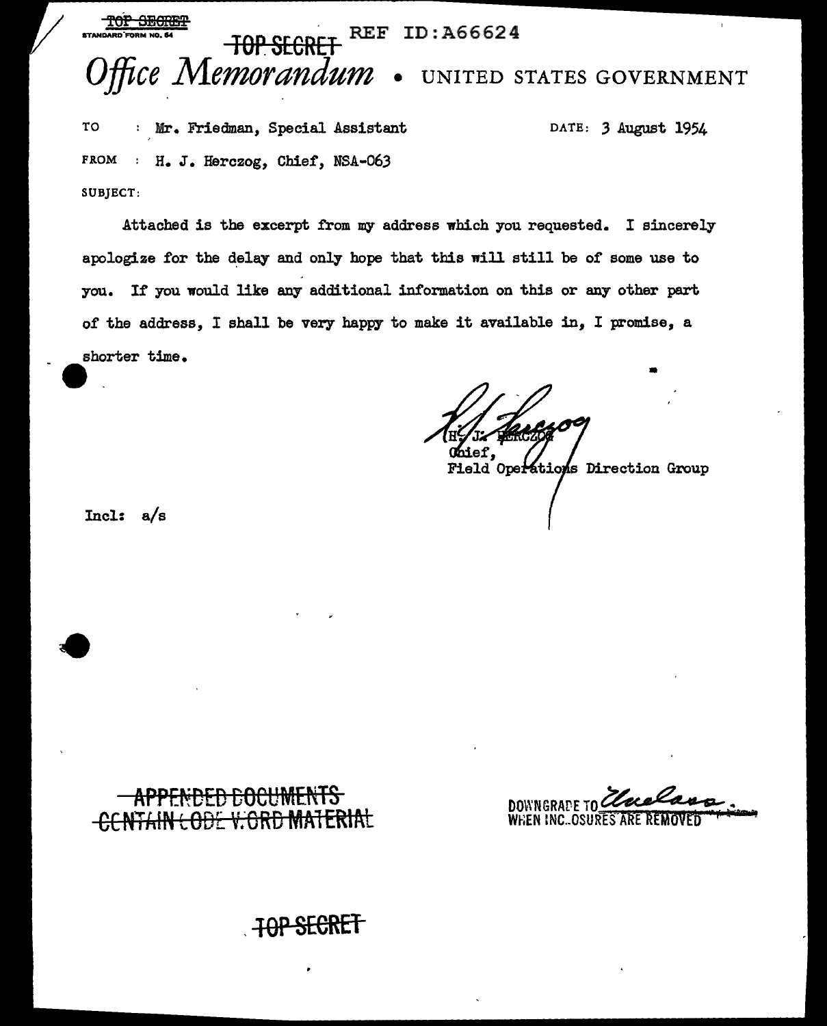### <del>TOP SECRE</del> REF ID: A66624 TOP SECRET Office Memorandum . UNITED STATES GOVERNMENT

TO : Mr. Friedman, Special Assistant FROM : H. J. Herczog, Chief, NSA-063 SUBJECT:

DATE: 3 August 1954

Attached is the excerpt from my address which you requested. I sincerely apologize for the delay and only hope that this will still be of some use to you. If you would like any additional information on this or any other part of the address, I shall be very happy to make it available in, I promise, a shorter time.

Field Operations Direction Group

Incl:  $a/s$ 

**DOWNGRAPE TO** WHEN INC. OSURES ARE REMOV

# **TOP SECRET**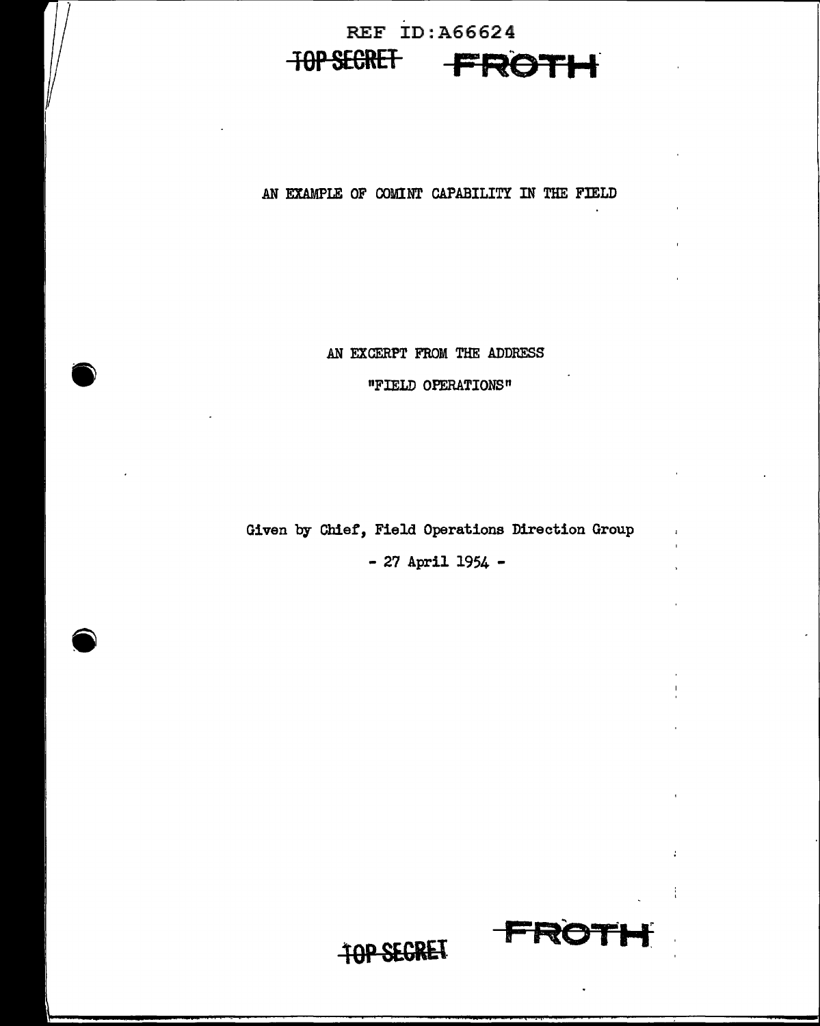# REF ID:A66624 **10PSECRET FROTH**

AN EXAMPLE OF COMINT CAPABILITY IN THE FIELD

 $\mathbf{r}$ 

AN EXCERPT FROM THE ADDRESS

"FIELD OPERATIONS"

Given by Chief, Field Operations Direction Group

- 27 April 1954 -

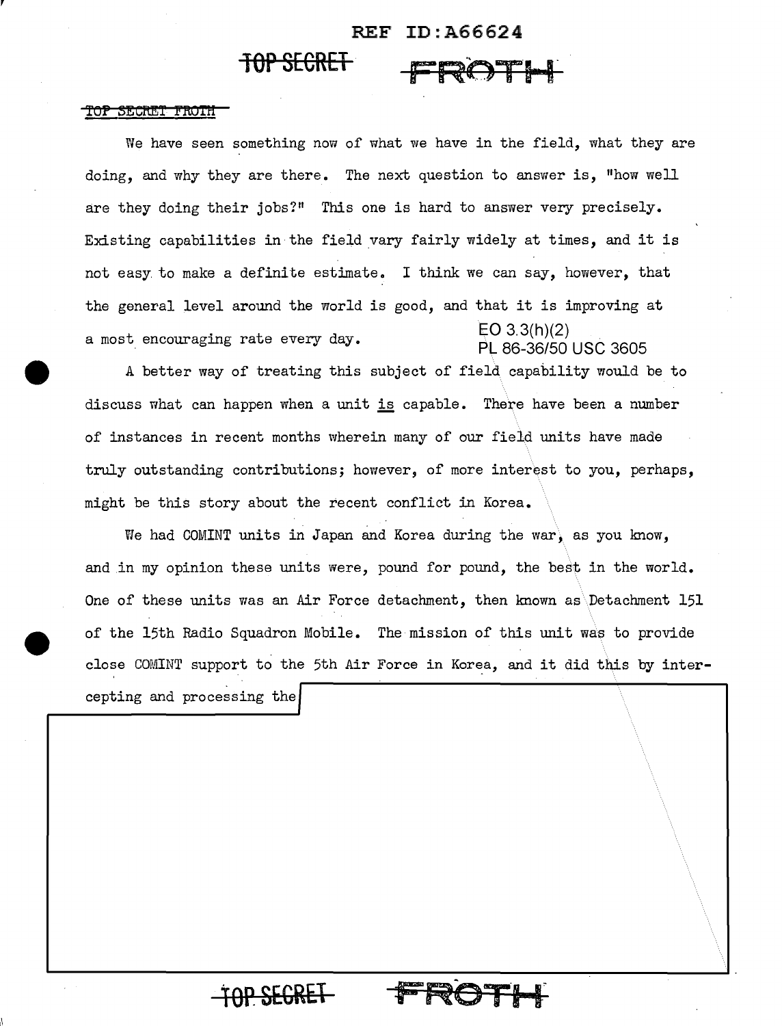# REF ID:A66624

FRO THE

## **TOP SECRET**

#### <del>TOP SECRET FROTH</del>

We have seen something now of what we have in the field, what they are doing, and why they are there. The next question to answer is, "how well are they doing their jobs?" This one is hard to answer very precisely. Existing capabilities in the field vary fairly widely at times, and it is not easy. to make a definite estimate. I think we can say, however, that the general level around the world is good, and that it is improving at a most encouraging rate every day.  $E[O 3.3(h)(2)]$ PL 86-36/50 USC 3605

A better way of treating this subject of field capability would be to discuss what can happen when a unit is capable. There have been a number of instances in recent months wherein many of our field units have made truly outstanding contributions; however, of more interest to you, perhaps, might be this story about the recent conflict in Korea.

We had COMINT units in Japan and Korea during the war, as you know, and in my opinion these units were, pound for pound, the best in the world. One of these units was an Air Force detachment, then known as Detachment 151 of the 15th Radio Squadron Mobile. The mission of this unit was to provide close COMINT support to the 5th Air Force in Korea, and it did this by inter-

cepting and processing the

**TOP. SEGRt.1**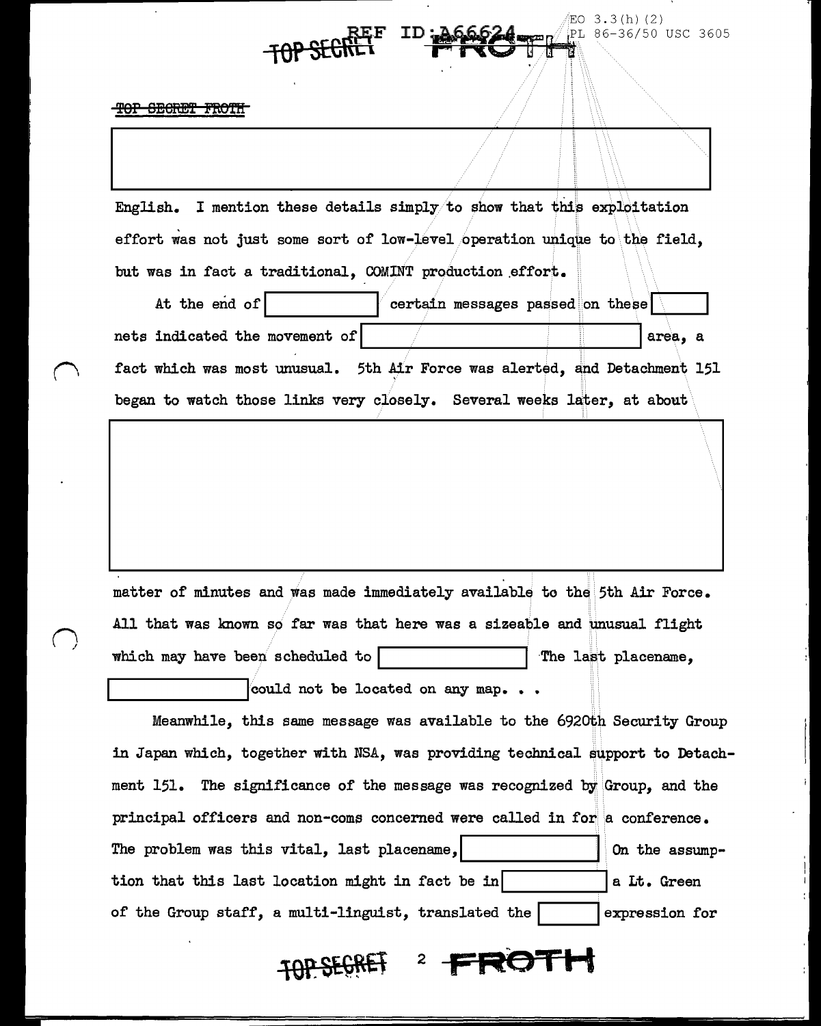TOP SECRET FROTH

English. I mention these details simply/to show that this exploitation effort was not just some sort of low-level operation unique to the field. but was in fact a traditional. COMINT production effort.

 $EO$  3.3(h)(2)

**lOP** ~F ID i'WttTff>~L 86-36/50 USC 3605

 $\lambda$ 

At the end of  $\vert$  certain messages passed on these nets indicated the movement of  $\vert$  area, and  $\vert$  area, and  $\vert$ fact which was most unusual. 5th Air Force was alerted, and Detachment 151 began to watch those links very closely. Several weeks later, at about

matter of minutes and was made immediately available to the 5th Air Force. All that was known so far was that here was a sizeable and unusual flight which may have been scheduled to  $\vert$  . The last placename,

could not be located on any map. . .

Meanwhile, this same message was available to the 6920th Security Group in Japan which, together with NSA, was providing technical \$upport to Detachment 151. The significance of the message was recognized by' Group, and the principal officers and non-coms concerned were called in for a conference. The problem was this vital, last placename,  $\vert$  0n the assumption that this last location might in fact be in  $|a \text{ It. Green}|\$ of the Group staff, a multi-linguist, translated the  $\vert$  expression for

# TOPSEGRET 2 FROTH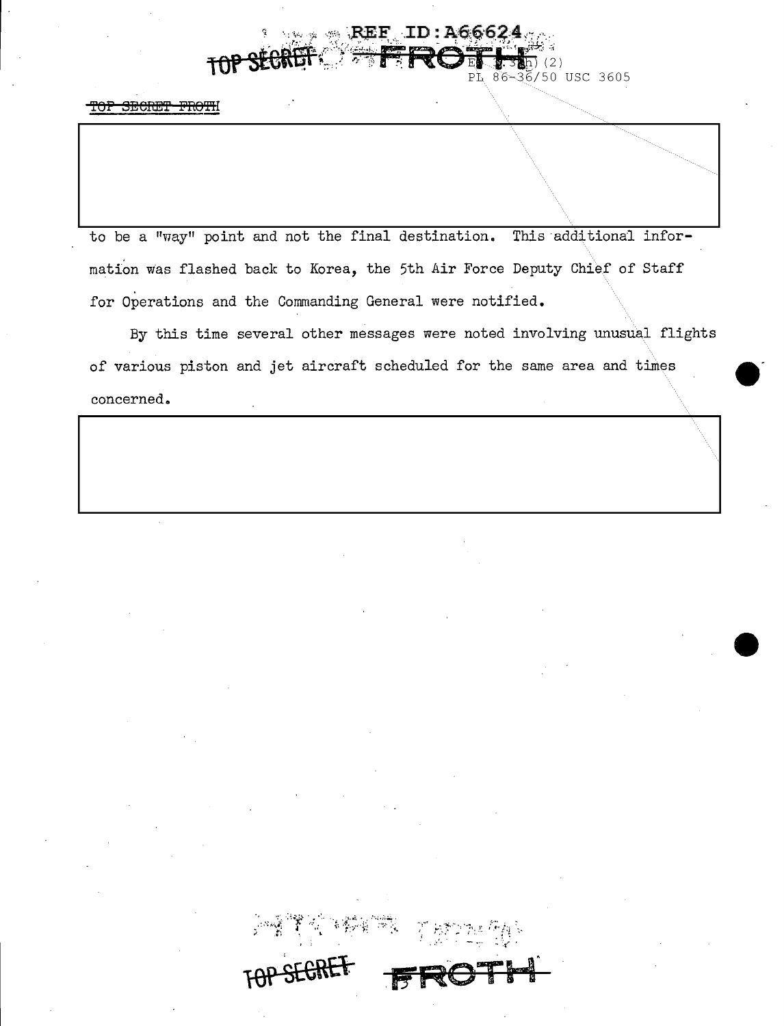### $REF$  ID: A66624  $(2)$ 36/50 USC 3605

<del>- TOP</del> SECRET FROTH

to be a "way" point and not the final destination. This additional information was flashed back to Korea, the 5th Air Force Deputy Chief of Staff for Operations and the Commanding General were notified.

By this time several other messages were noted involving unusual flights of various piston and jet aircraft scheduled for the same area and times concerned.

**BETTERES**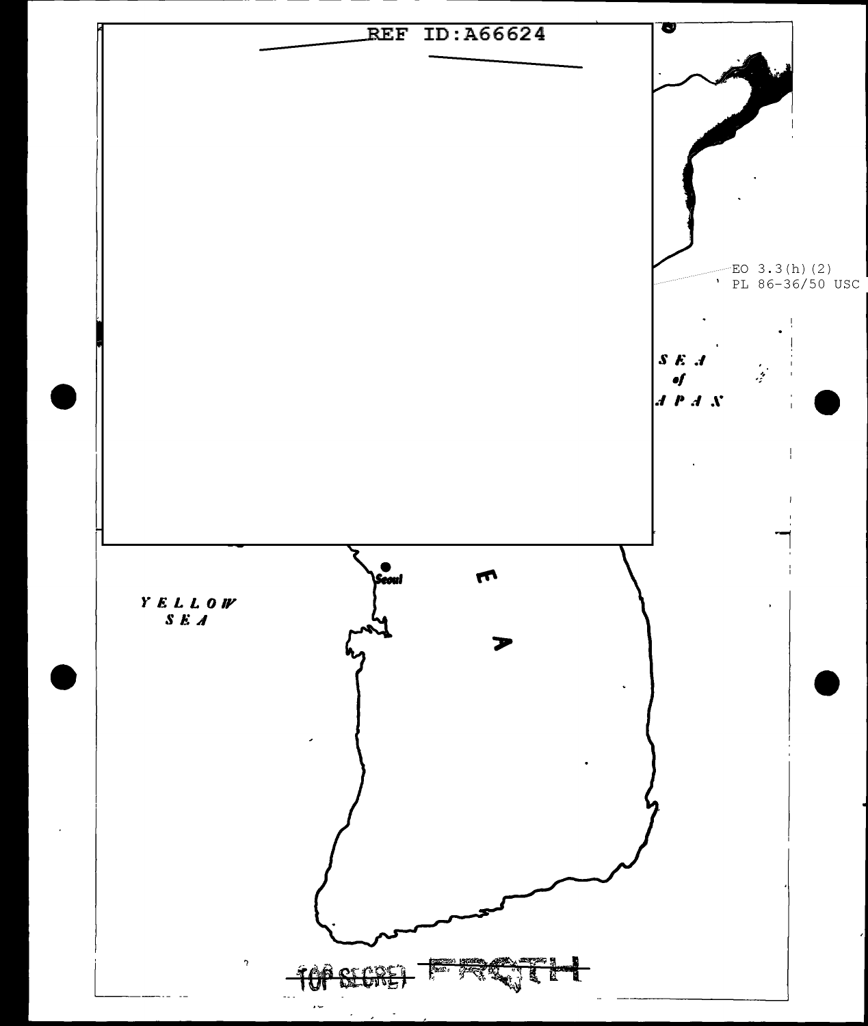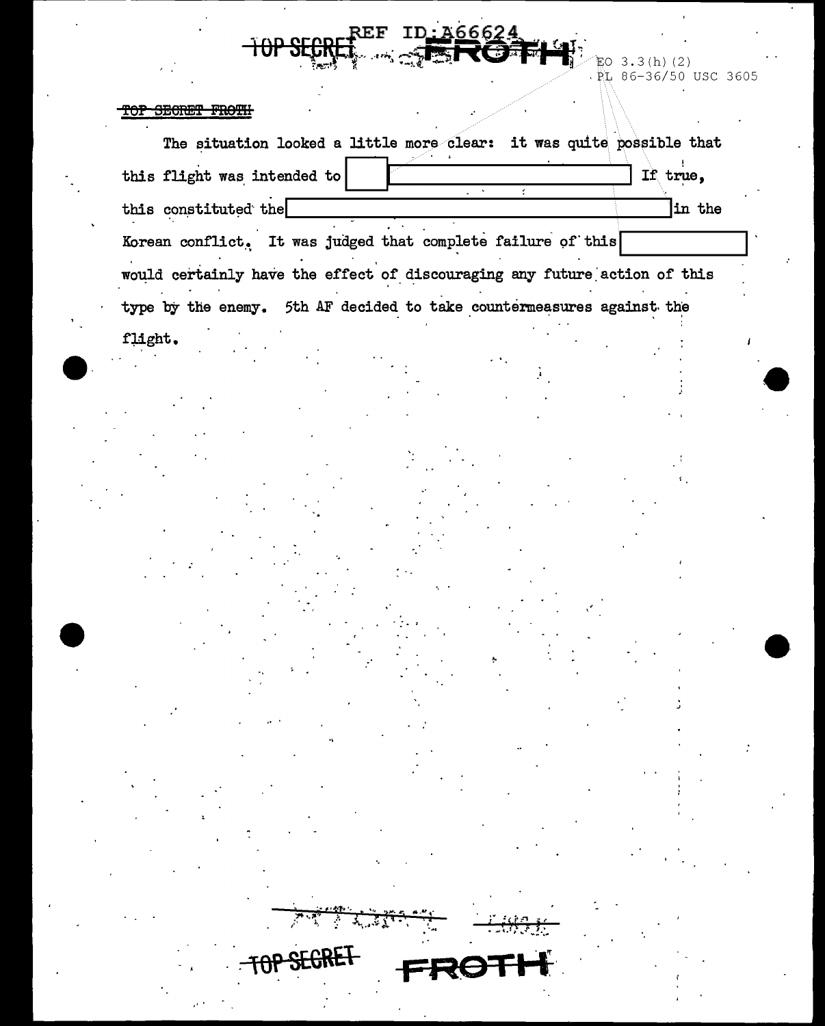EO 3.3(h)(2)<br>RL 86-36/50 USC 3605  $\bar{z}$ 

Ţ

#### SECRET FROTH <del>'OP</del>

 $\overline{\mathrm{+}\mathrm{0}}$ 

| Korean conflict. It was judged that complete failure of this<br>would certainly have the effect of discouraging any future action of this<br>type by the enemy. 5th AF decided to take countermeasures against the<br>flight. | this constituted the |  | $\sim$<br>$\mathcal{L}$ |  | in the |
|-------------------------------------------------------------------------------------------------------------------------------------------------------------------------------------------------------------------------------|----------------------|--|-------------------------|--|--------|
|                                                                                                                                                                                                                               |                      |  |                         |  |        |
|                                                                                                                                                                                                                               |                      |  |                         |  |        |
|                                                                                                                                                                                                                               |                      |  |                         |  |        |
|                                                                                                                                                                                                                               |                      |  |                         |  |        |
|                                                                                                                                                                                                                               |                      |  |                         |  |        |
|                                                                                                                                                                                                                               |                      |  |                         |  |        |
|                                                                                                                                                                                                                               |                      |  |                         |  |        |
|                                                                                                                                                                                                                               |                      |  |                         |  |        |
|                                                                                                                                                                                                                               |                      |  |                         |  |        |
|                                                                                                                                                                                                                               |                      |  |                         |  |        |
|                                                                                                                                                                                                                               |                      |  |                         |  |        |
|                                                                                                                                                                                                                               |                      |  |                         |  |        |
|                                                                                                                                                                                                                               |                      |  |                         |  |        |
|                                                                                                                                                                                                                               |                      |  |                         |  |        |
|                                                                                                                                                                                                                               |                      |  |                         |  |        |
|                                                                                                                                                                                                                               |                      |  |                         |  |        |
|                                                                                                                                                                                                                               |                      |  |                         |  |        |
|                                                                                                                                                                                                                               |                      |  |                         |  |        |
|                                                                                                                                                                                                                               |                      |  |                         |  |        |
|                                                                                                                                                                                                                               |                      |  |                         |  |        |
|                                                                                                                                                                                                                               |                      |  |                         |  |        |
|                                                                                                                                                                                                                               |                      |  |                         |  |        |
|                                                                                                                                                                                                                               |                      |  |                         |  |        |
|                                                                                                                                                                                                                               |                      |  |                         |  |        |
|                                                                                                                                                                                                                               |                      |  |                         |  |        |
|                                                                                                                                                                                                                               |                      |  |                         |  |        |

ID: A66624

 $\mathbf{REF}$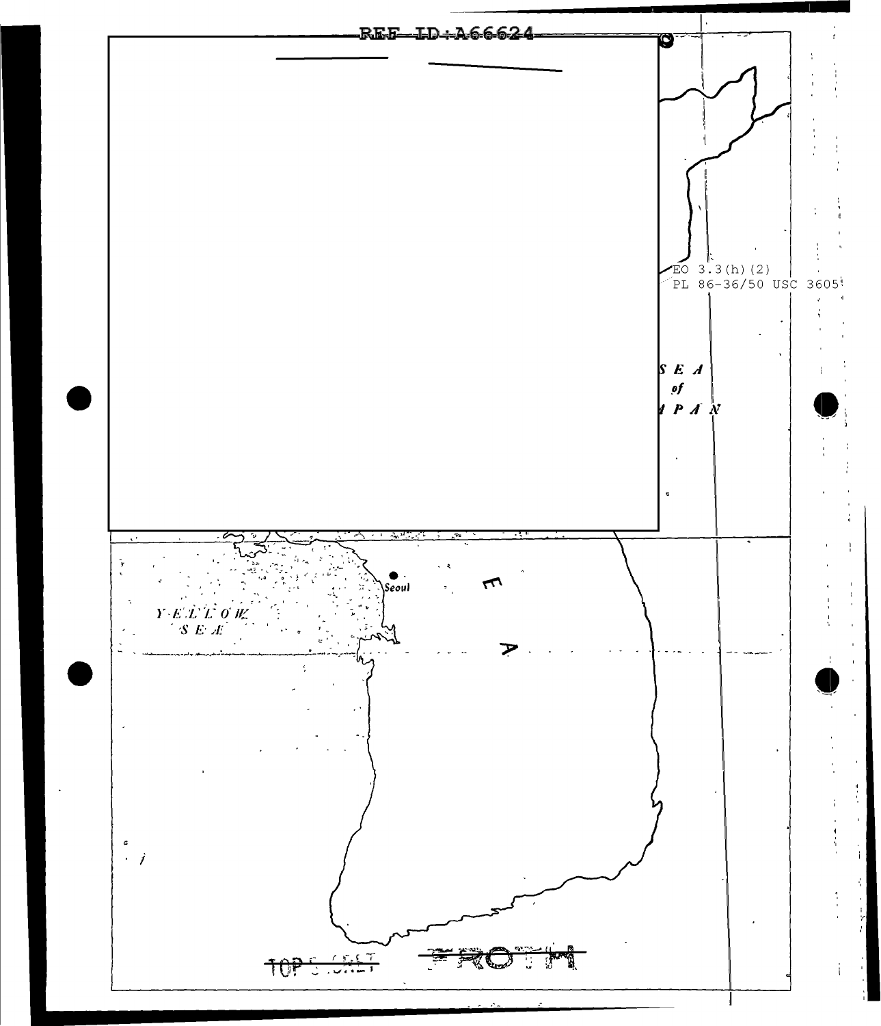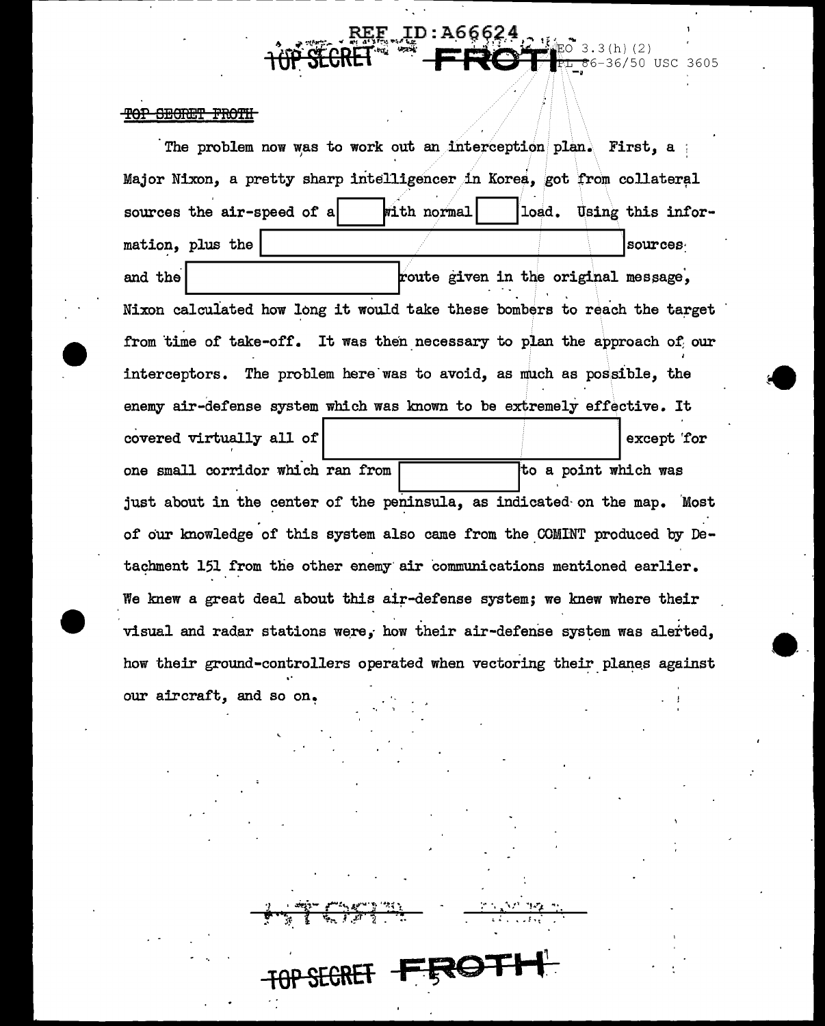### TOP SECRET FROTH

The problem now was to work out an interception plan. First, a Major Nixon, a pretty sharp intelligencer in Korea, got from collateral sources the air-speed of a with normal load. Using this information, plus the sources route given in the original message, and the Nixon calculated how long it would take these bombers to reach the target from time of take-off. It was then necessary to plan the approach of our interceptors. The problem here was to avoid, as much as possible, the enemy air-defense system which was known to be extremely effective. It covered virtually all of except for one small corridor which ran from to a point which was just about in the center of the peninsula, as indicated on the map. Most of our knowledge of this system also came from the COMINT produced by Detachment 151 from the other enemy air communications mentioned earlier. We knew a great deal about this air-defense system; we knew where their visual and radar stations were, how their air-defense system was alerted. how their ground-controllers operated when vectoring their planes against our aircraft, and so on.

**TOP SECRET FRO** 

 $3(h)(2)$ 

 $6 - 36/50$  USC 3605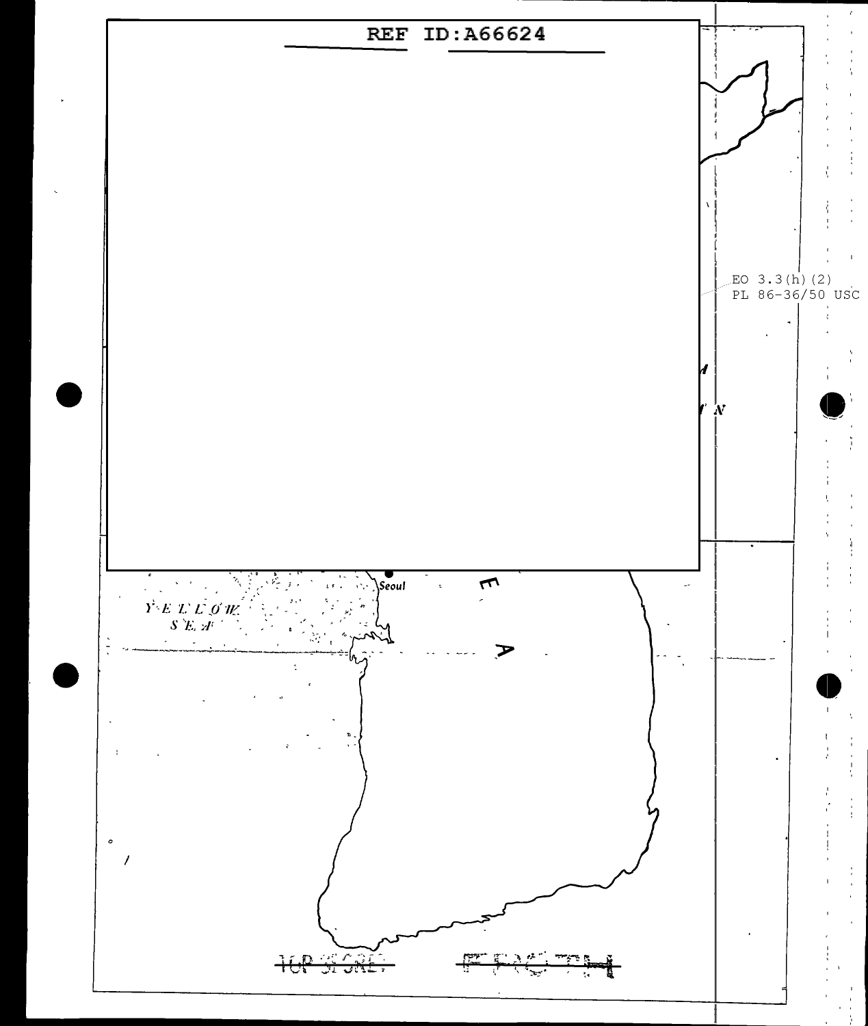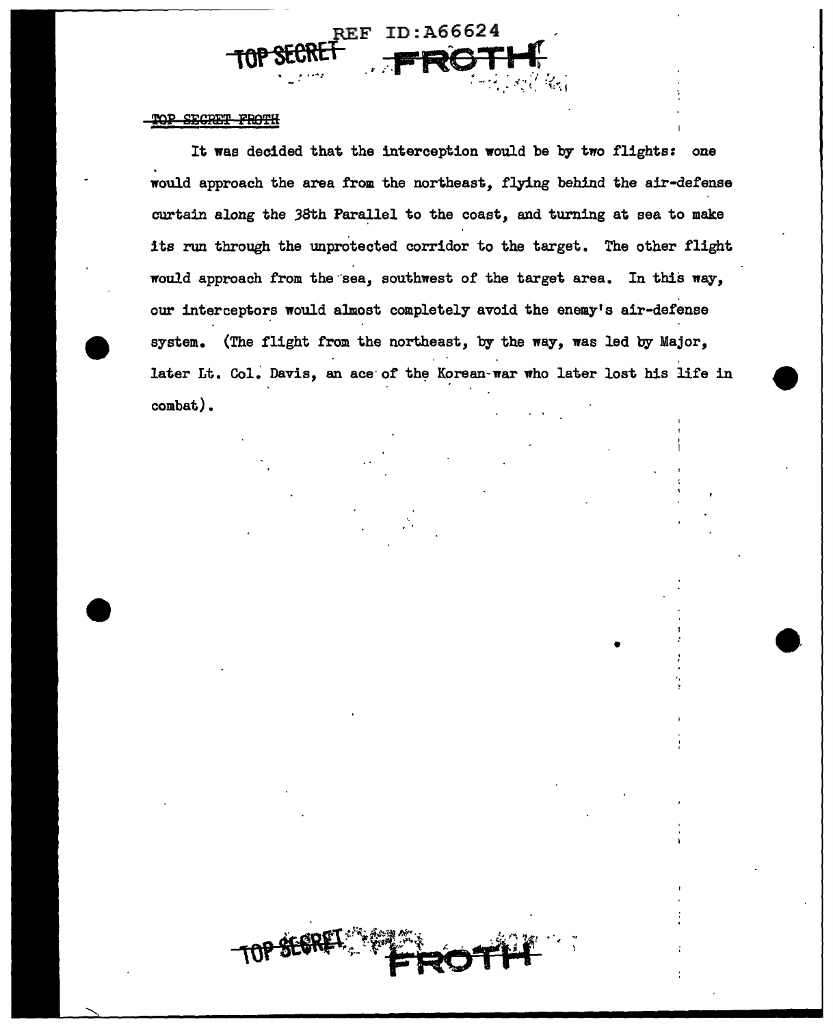#### TOP SECRET FROTH

It was decided that the interception would be by two flights: one would approach the area from the northeast, flying behind the air-defense curtain along the 38th Parallel to the coast, and turning at sea to make its run through the unprotected corridor to the target. The other flight would approach from the sea, southwest of the target area. In this way, our interceptors would almost completely avoid the enemy's air-defense system. (The flight from the northeast, by the way, was led by Major, later Lt. Col. Davis, an ace of the Korean-war who later lost his life in combat).

ID:A66624

2E.F

• --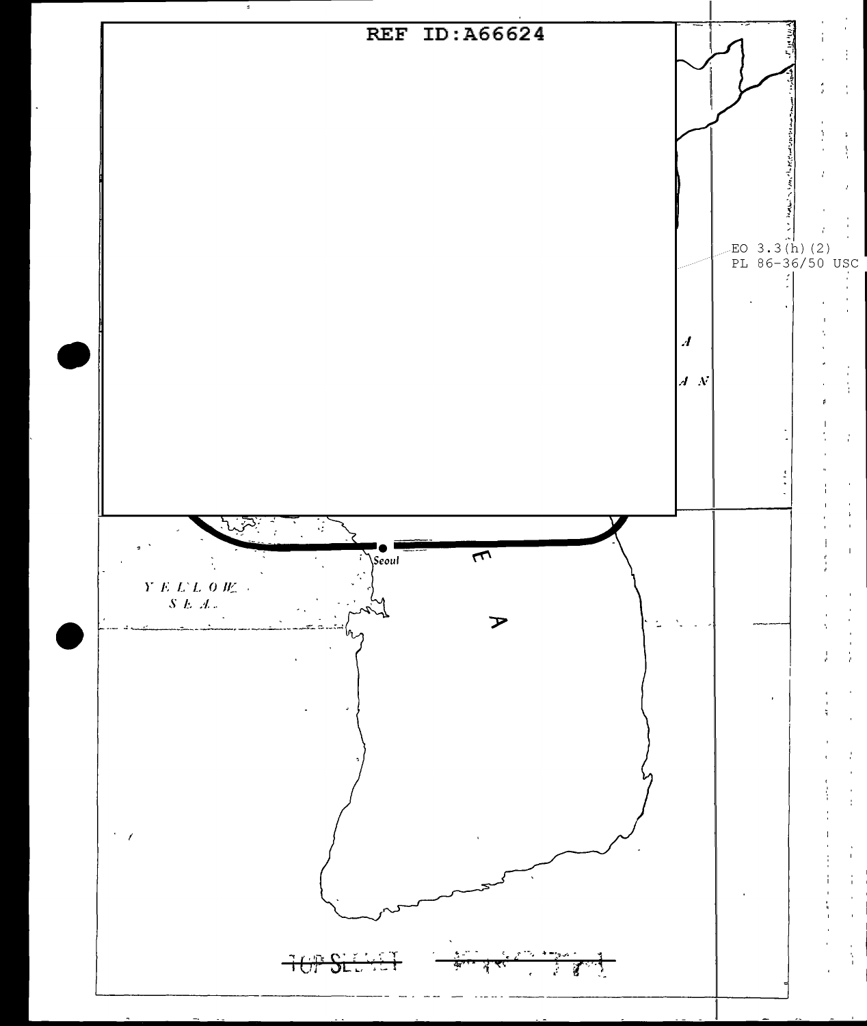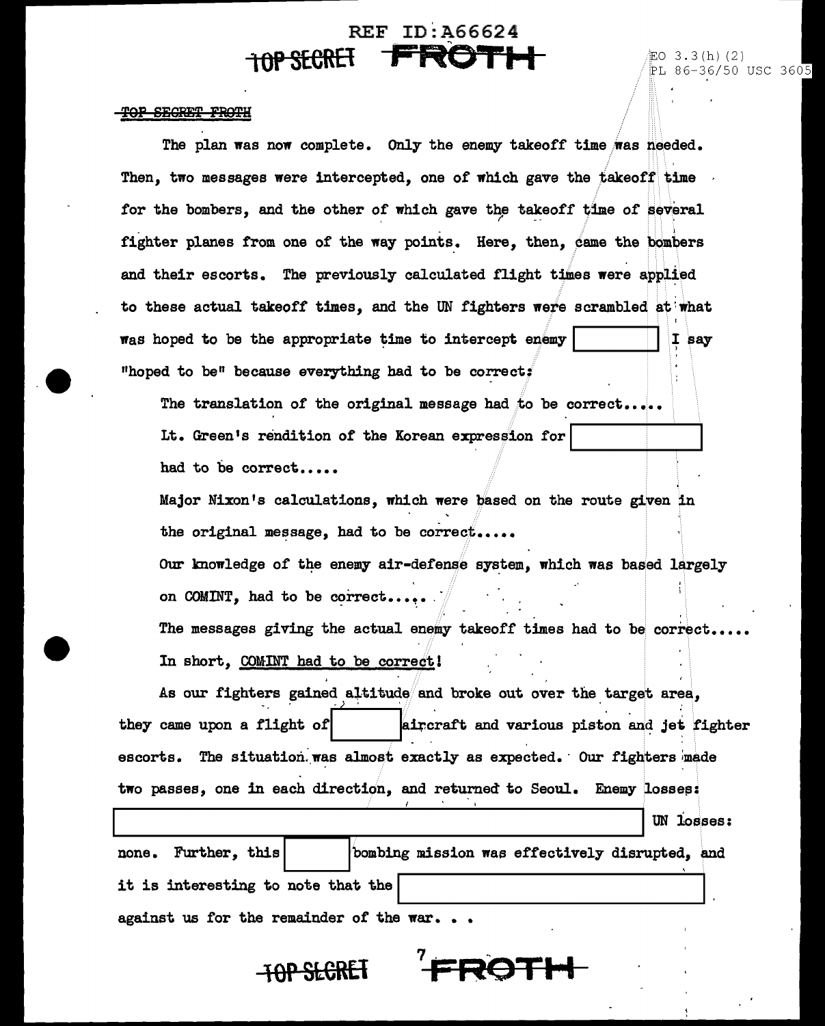# **REF ID: A66624 HOP SECRET FROTH** 2 2 3.3 (h) (2)

 $PL$  86-36/50 USC 3605

### TOP SECRET FROTH

--

The plan was now complete. Only the enemy takeoff time was needed. Then, two messages were intercepted, one of which gave the takeoff time for the bombers, and the other of which gave the takeoff time of several fighter planes from one of the way points. Here, then,  $\phi$ ame the bombers and their escorts. The previously calculated flight times were applied to these actual takeoff times, and the UN fighters wete scrambled at:what was hoped to be the appropriate time to intercept enemy  $|$  ... I say "hoped to be" because everything had to be correct:

The translation of the original message had to be correct.... Lt. Green's rendition of the Korean expression for had to be correct.....

Major Nixon's calculations, which were biased on the route given in the original message, had to be correct.

Our knowledge of the enemy air-defense system, which was based largely on COMINT, had to be correct......

The messages giving the actual enemy takeoff times had to be correct.. In short, COMINT had to be correct!

As our fighters gained altitude and broke out over the target area. they came upon a flight of  $\vert$  aircraft and various piston and jet fighter escorts. The situation was almost exactly as expected. Our fighters made two passes, one in each direction, and returned to Seoul. Enemy losses:

UN losses: none. Further, this bombing mission was effectively disrupted, and it is interesting to note that the against us for the remainder of the war..

**7**

**FR0TI I**